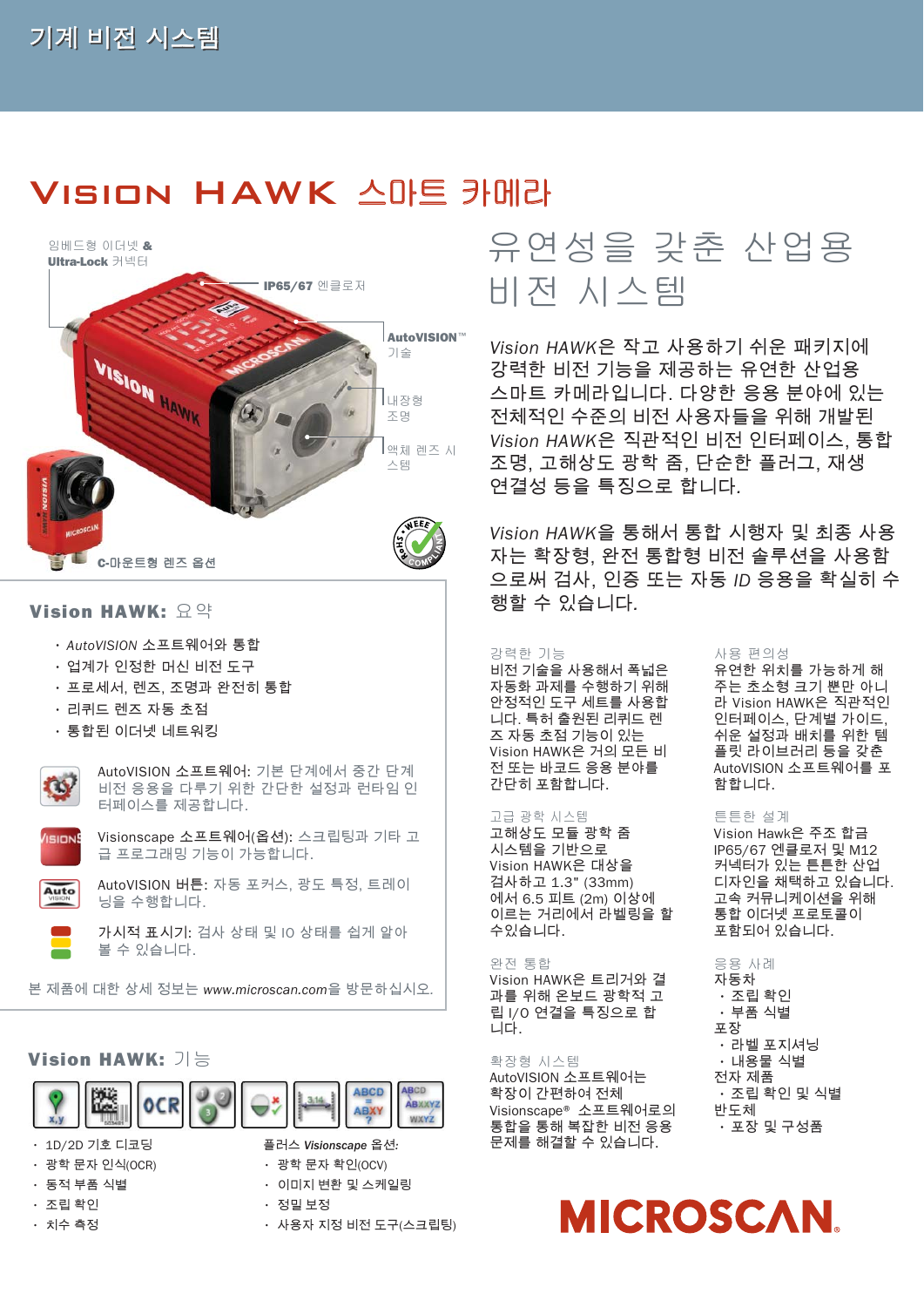## Vision HAWK 스마트 카메라



- 프로세서, 렌즈, 조명과 완전히 통합
- 리퀴드 렌즈 자동 초점
- 통합된 이더넷 네트워킹



AutoVISION 소프트웨어: 기본 단계에서 중간 단계 비전 응용을 다루기 위한 간단한 설정과 런타임 인 터페이스를 제공합니다.



Visionscape 소프트웨어(옵션): 스크립팅과 기타 고 급 프로그래밍 기능이 가능합니다.



AutoVISION 버튼: 자동 포커스, 광도 특정, 트레이 닝을 수행합니다.



가시적 표시기: 검사 상태 및 IO 상태를 쉽게 알아 볼 수 있습니다.

본 제품에 대한 상세 정보는 *www.microscan.com*을 방문하십시오*.*

#### **Vision HAWK:** 기능



• 1D/2D 기호 디코딩

- 광학 문자 인식(OCR)
- 동적 부품 식별
- 조립 확인
- 치수 측정

플러스 *Visionscape* 옵션*:* • 광학 문자 확인(OCV)

- 이미지 변환 및 스케일링
- 정밀 보정
- 사용자 지정 비전 도구(스크립팅)

## 유연성을 갖춘 산업용 비전 시스템

*Vision HAWK*은 작고 사용하기 쉬운 패키지에 강력한 비전 기능을 제공하는 유연한 산업용 스마트 카메라입니다. 다양한 응용 분야에 있는 전체적인 수준의 비전 사용자들을 위해 개발된 *Vision HAWK*은 직관적인 비전 인터페이스, 통합 조명, 고해상도 광학 줌, 단순한 플러그, 재생 연결성 등을 특징으로 합니다*.* 

*Vision HAWK*을 통해서 통합 시행자 및 최종 사용 자는 확장형, 완전 통합형 비전 솔루션을 사용함 으로써 검사, 인증 또는 자동 *ID* 응용을 확실히 수

#### 강력한 기능

비전 기술을 사용해서 폭넓은 자동화 과제를 수행하기 위해 안정적인 도구 세트를 사용합 니다. 특허 출원된 리퀴드 렌 즈 자동 초점 기능이 있는 Vision HAWK은 거의 모든 비 전 또는 바코드 응용 분야를 간단히 포함합니다.

#### 고급 광학 시스템

고해상도 모듈 광학 줌 시스템을 기반으로 Vision HAWK은 대상을 검사하고 1.3" (33mm) 에서 6.5 피트 (2m) 이상에 이르는 거리에서 라벨링을 할 수있습니다.

#### 완전 통합

Vision HAWK은 트리거와 결 과를 위해 온보드 광학적 고 립 I/O 연결을 특징으로 합 니다.

#### 확장형 시스템

AutoVISION 소프트웨어는 확장이 간편하여 전체 Visionscape® 소프트웨어로의 통합을 통해 복잡한 비전 응용 문제를 해결할 수 있습니다.

#### 사용 편의성

유연한 위치를 가능하게 해 주는 초소형 크기 뿐만 아니 라 Vision HAWK은 직관적인 인터페이스, 단계별 가이드, 쉬운 설정과 배치를 위한 템 플릿 라이브러리 등을 갖춘 AutoVISION 소프트웨어를 포 함합니다.

#### 튼튼한 설계

Vision Hawk은 주조 합금 IP65/67 엔클로저 및 M12 커넥터가 있는 튼튼한 산업 디자인을 채택하고 있습니다. 고속 커뮤니케이션을 위해 통합 이더넷 프로토콜이 포함되어 있습니다.

#### 응용 사례

자동차 • 조립 확인 • 부품 식별 포장 • 라벨 포지셔닝 • 내용물 식별 전자 제품 • 조립 확인 및 식별 반도체 • 포장 및 구성품

# **MICROSCAN**